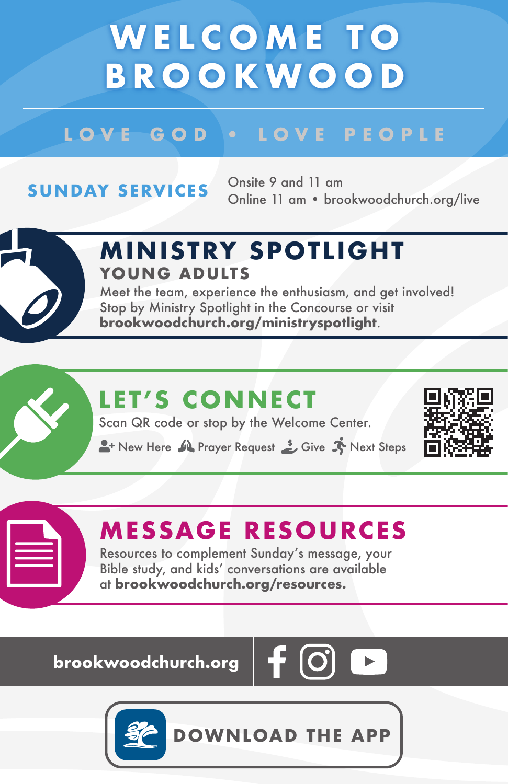# **WELCOME TO BROOKWOOD**

### LOVE GOD . LOVE PEOPLE

**SUNDAY SERVICES**  $\begin{array}{r}$  Onsite 9 and 11 am<br>Online 11 am • brookwoodchurch.org/live



#### **M IN ISTRY SPOTL IGHT YOUNG ADULTS**

Meet the team, experience the enthusiasm, and get involved! Stop by Ministry Spotlight in the Concourse or visit **brookwoodchurch.org/ministryspotlight**.

## **LET'S CONNECT**

Scan QR code or stop by the Welcome Center.

A New Here M Prayer Request Street Steps



### **MESSAGE RESOURCES**

Resources to complement Sunday's message, your Bible study, and kids' conversations are available at **brookwoodchurch.org/resources.**

**brookwoodchurch.org** 



**DOWNLOAD THE APP**